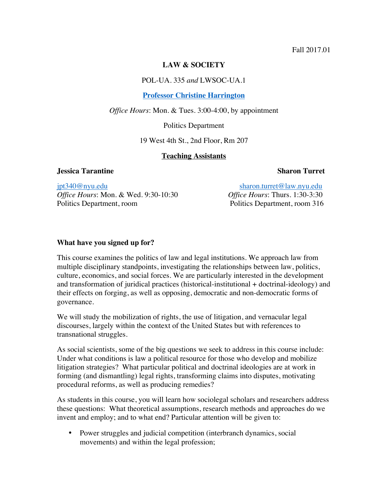#### **LAW & SOCIETY**

POL-UA. 335 *and* LWSOC-UA.1

#### **Professor Christine Harrington**

*Office Hours*: Mon. & Tues. 3:00-4:00, by appointment

Politics Department

19 West 4th St., 2nd Floor, Rm 207

#### **Teaching Assistants**

#### **Jessica Tarantine Sharon Turret (Inc. 2)**

jpt340@nyu.edu sharon.turret@law.nyu.edu *Office Hours*: Mon. & Wed. 9:30-10:30 *Office Hours*: Thurs. 1:30-3:30 Politics Department, room Politics Department, room 316

#### **What have you signed up for?**

This course examines the politics of law and legal institutions. We approach law from multiple disciplinary standpoints, investigating the relationships between law, politics, culture, economics, and social forces. We are particularly interested in the development and transformation of juridical practices (historical-institutional + doctrinal-ideology) and their effects on forging, as well as opposing, democratic and non-democratic forms of governance.

We will study the mobilization of rights, the use of litigation, and vernacular legal discourses, largely within the context of the United States but with references to transnational struggles.

As social scientists, some of the big questions we seek to address in this course include: Under what conditions is law a political resource for those who develop and mobilize litigation strategies? What particular political and doctrinal ideologies are at work in forming (and dismantling) legal rights, transforming claims into disputes, motivating procedural reforms, as well as producing remedies?

As students in this course, you will learn how sociolegal scholars and researchers address these questions: What theoretical assumptions, research methods and approaches do we invent and employ; and to what end? Particular attention will be given to:

• Power struggles and judicial competition (interbranch dynamics, social movements) and within the legal profession;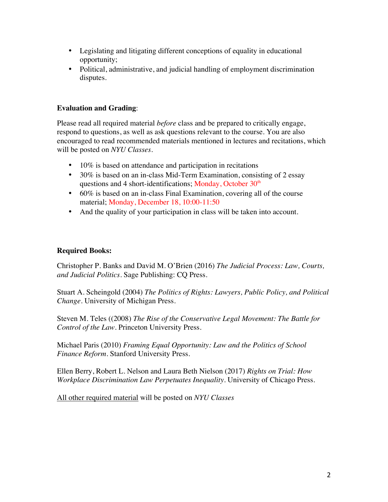- Legislating and litigating different conceptions of equality in educational opportunity;
- Political, administrative, and judicial handling of employment discrimination disputes.

# **Evaluation and Grading**:

Please read all required material *before* class and be prepared to critically engage, respond to questions, as well as ask questions relevant to the course. You are also encouraged to read recommended materials mentioned in lectures and recitations, which will be posted on *NYU Classes*.

- 10% is based on attendance and participation in recitations
- 30% is based on an in-class Mid-Term Examination, consisting of 2 essay questions and 4 short-identifications; Monday, October  $30<sup>th</sup>$
- 60% is based on an in-class Final Examination, covering all of the course material; Monday, December 18, 10:00-11:50
- And the quality of your participation in class will be taken into account.

# **Required Books:**

Christopher P. Banks and David M. O'Brien (2016) *The Judicial Process: Law, Courts, and Judicial Politics*. Sage Publishing: CQ Press.

Stuart A. Scheingold (2004) *The Politics of Rights: Lawyers, Public Policy, and Political Change*. University of Michigan Press.

Steven M. Teles ((2008) *The Rise of the Conservative Legal Movement: The Battle for Control of the Law*. Princeton University Press.

Michael Paris (2010) *Framing Equal Opportunity: Law and the Politics of School Finance Reform*. Stanford University Press.

Ellen Berry, Robert L. Nelson and Laura Beth Nielson (2017) *Rights on Trial: How Workplace Discrimination Law Perpetuates Inequality*. University of Chicago Press.

All other required material will be posted on *NYU Classes*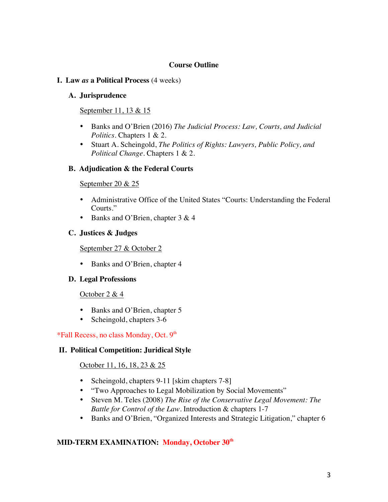#### **Course Outline**

#### **I. Law** *as* **a Political Process** (4 weeks)

#### **A. Jurisprudence**

## September 11, 13 & 15

- Banks and O'Brien (2016) *The Judicial Process: Law, Courts, and Judicial Politics*. Chapters 1 & 2.
- Stuart A. Scheingold, *The Politics of Rights: Lawyers, Public Policy, and Political Change*. Chapters 1 & 2.

#### **B. Adjudication & the Federal Courts**

#### September 20 & 25

- Administrative Office of the United States "Courts: Understanding the Federal Courts."
- Banks and O'Brien, chapter 3 & 4

## **C. Justices & Judges**

September 27 & October 2

• Banks and O'Brien, chapter 4

#### **D. Legal Professions**

October 2 & 4

- Banks and O'Brien, chapter 5
- Scheingold, chapters 3-6

## \*Fall Recess, no class Monday, Oct. 9<sup>th</sup>

## **II. Political Competition: Juridical Style**

## October 11, 16, 18, 23 & 25

- Scheingold, chapters 9-11 [skim chapters 7-8]
- "Two Approaches to Legal Mobilization by Social Movements"
- Steven M. Teles (2008) *The Rise of the Conservative Legal Movement: The Battle for Control of the Law*. Introduction & chapters 1-7
- Banks and O'Brien, "Organized Interests and Strategic Litigation," chapter 6

## **MID-TERM EXAMINATION: Monday, October 30th**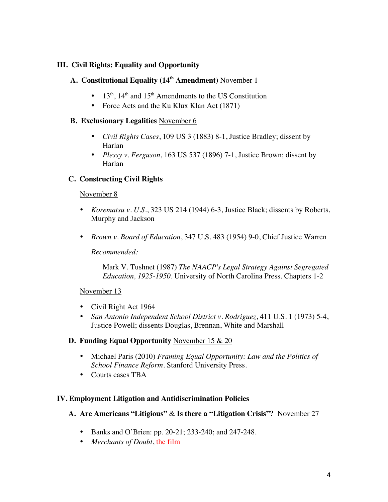## **III. Civil Rights: Equality and Opportunity**

# **A. Constitutional Equality (14th Amendment)** November 1

- $13<sup>th</sup>$ ,  $14<sup>th</sup>$  and  $15<sup>th</sup>$  Amendments to the US Constitution
- Force Acts and the Ku Klux Klan Act (1871)

## **B. Exclusionary Legalities** November 6

- *Civil Rights Cases*, 109 US 3 (1883) 8-1, Justice Bradley; dissent by Harlan
- *Plessy v. Ferguson*, 163 US 537 (1896) 7-1, Justice Brown; dissent by Harlan

# **C. Constructing Civil Rights**

## November 8

- *Korematsu v. U.S.*, 323 US 214 (1944) 6-3, Justice Black; dissents by Roberts, Murphy and Jackson
- *Brown v. Board of Education*, 347 U.S. 483 (1954) 9-0, Chief Justice Warren

*Recommended:*

Mark V. Tushnet (1987) *The NAACP's Legal Strategy Against Segregated Education, 1925-1950*. University of North Carolina Press. Chapters 1-2

## November 13

- Civil Right Act 1964
- *San Antonio Independent School District v. Rodriguez*, 411 U.S. 1 (1973) 5-4, Justice Powell; dissents Douglas, Brennan, White and Marshall

## **D. Funding Equal Opportunity** November 15 & 20

- Michael Paris (2010) *Framing Equal Opportunity: Law and the Politics of School Finance Reform*. Stanford University Press.
- Courts cases TBA

## **IV. Employment Litigation and Antidiscrimination Policies**

- **A. Are Americans "Litigious"** & **Is there a "Litigation Crisis"?** November 27
	- Banks and O'Brien: pp. 20-21; 233-240; and 247-248.
	- *Merchants of Doubt*, the film